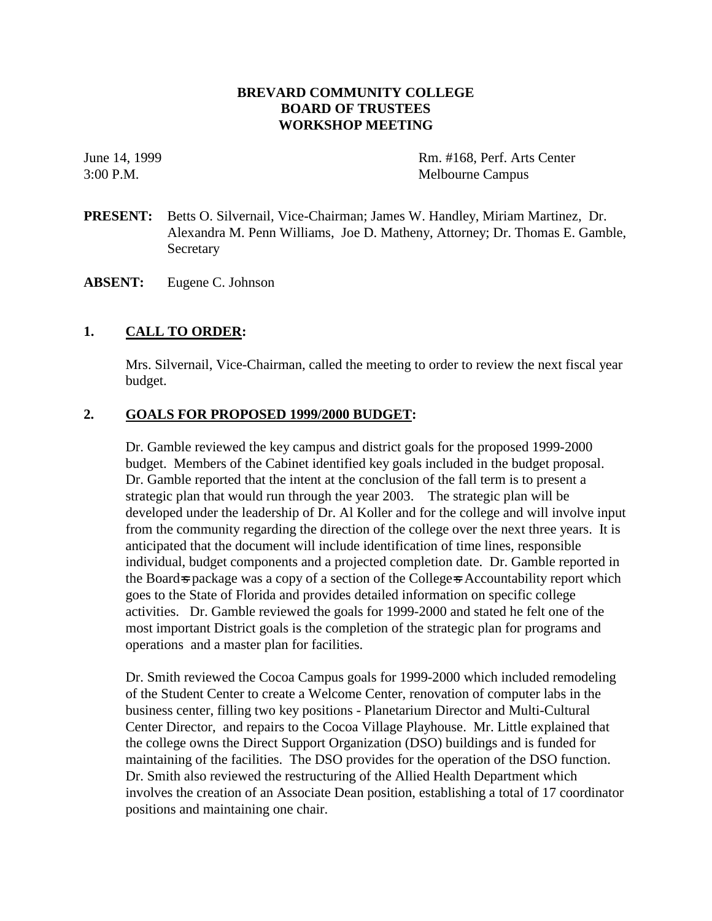## **BREVARD COMMUNITY COLLEGE BOARD OF TRUSTEES WORKSHOP MEETING**

June 14, 1999 Rm. #168, Perf. Arts Center 3:00 P.M. Melbourne Campus

- **PRESENT:** Betts O. Silvernail, Vice-Chairman; James W. Handley, Miriam Martinez, Dr. Alexandra M. Penn Williams, Joe D. Matheny, Attorney; Dr. Thomas E. Gamble, Secretary
- **ABSENT:** Eugene C. Johnson

### **1. CALL TO ORDER:**

Mrs. Silvernail, Vice-Chairman, called the meeting to order to review the next fiscal year budget.

#### **2. GOALS FOR PROPOSED 1999/2000 BUDGET:**

Dr. Gamble reviewed the key campus and district goals for the proposed 1999-2000 budget. Members of the Cabinet identified key goals included in the budget proposal. Dr. Gamble reported that the intent at the conclusion of the fall term is to present a strategic plan that would run through the year 2003. The strategic plan will be developed under the leadership of Dr. Al Koller and for the college and will involve input from the community regarding the direction of the college over the next three years. It is anticipated that the document will include identification of time lines, responsible individual, budget components and a projected completion date. Dr. Gamble reported in the Board-s package was a copy of a section of the College-s Accountability report which goes to the State of Florida and provides detailed information on specific college activities. Dr. Gamble reviewed the goals for 1999-2000 and stated he felt one of the most important District goals is the completion of the strategic plan for programs and operations and a master plan for facilities.

Dr. Smith reviewed the Cocoa Campus goals for 1999-2000 which included remodeling of the Student Center to create a Welcome Center, renovation of computer labs in the business center, filling two key positions - Planetarium Director and Multi-Cultural Center Director, and repairs to the Cocoa Village Playhouse. Mr. Little explained that the college owns the Direct Support Organization (DSO) buildings and is funded for maintaining of the facilities. The DSO provides for the operation of the DSO function. Dr. Smith also reviewed the restructuring of the Allied Health Department which involves the creation of an Associate Dean position, establishing a total of 17 coordinator positions and maintaining one chair.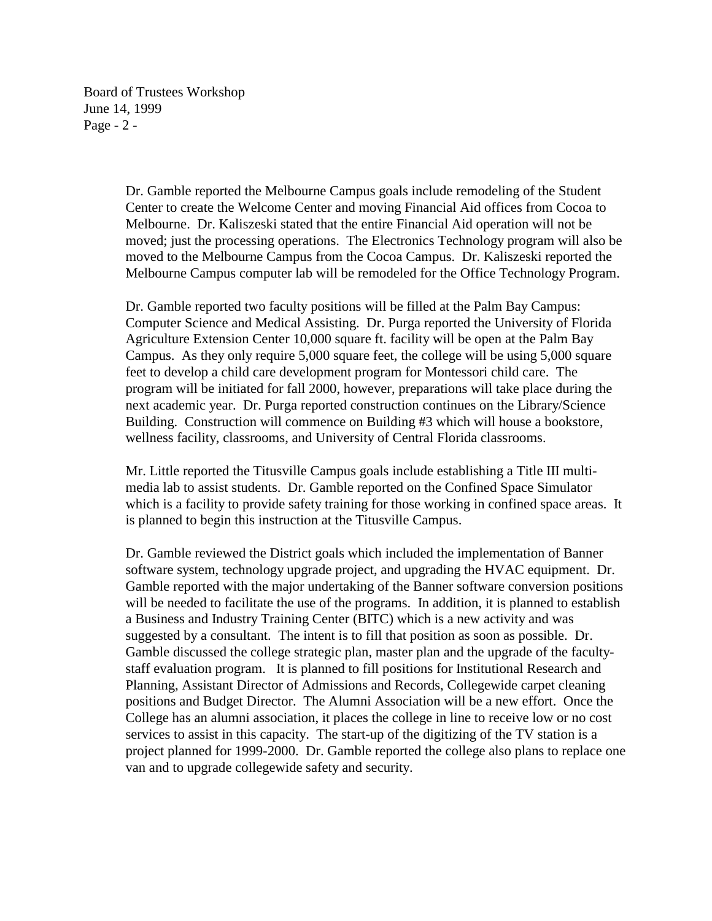Board of Trustees Workshop June 14, 1999 Page - 2 -

> Dr. Gamble reported the Melbourne Campus goals include remodeling of the Student Center to create the Welcome Center and moving Financial Aid offices from Cocoa to Melbourne. Dr. Kaliszeski stated that the entire Financial Aid operation will not be moved; just the processing operations. The Electronics Technology program will also be moved to the Melbourne Campus from the Cocoa Campus. Dr. Kaliszeski reported the Melbourne Campus computer lab will be remodeled for the Office Technology Program.

Dr. Gamble reported two faculty positions will be filled at the Palm Bay Campus: Computer Science and Medical Assisting. Dr. Purga reported the University of Florida Agriculture Extension Center 10,000 square ft. facility will be open at the Palm Bay Campus. As they only require 5,000 square feet, the college will be using 5,000 square feet to develop a child care development program for Montessori child care. The program will be initiated for fall 2000, however, preparations will take place during the next academic year. Dr. Purga reported construction continues on the Library/Science Building. Construction will commence on Building #3 which will house a bookstore, wellness facility, classrooms, and University of Central Florida classrooms.

Mr. Little reported the Titusville Campus goals include establishing a Title III multimedia lab to assist students. Dr. Gamble reported on the Confined Space Simulator which is a facility to provide safety training for those working in confined space areas. It is planned to begin this instruction at the Titusville Campus.

Dr. Gamble reviewed the District goals which included the implementation of Banner software system, technology upgrade project, and upgrading the HVAC equipment. Dr. Gamble reported with the major undertaking of the Banner software conversion positions will be needed to facilitate the use of the programs. In addition, it is planned to establish a Business and Industry Training Center (BITC) which is a new activity and was suggested by a consultant. The intent is to fill that position as soon as possible. Dr. Gamble discussed the college strategic plan, master plan and the upgrade of the facultystaff evaluation program. It is planned to fill positions for Institutional Research and Planning, Assistant Director of Admissions and Records, Collegewide carpet cleaning positions and Budget Director. The Alumni Association will be a new effort. Once the College has an alumni association, it places the college in line to receive low or no cost services to assist in this capacity. The start-up of the digitizing of the TV station is a project planned for 1999-2000. Dr. Gamble reported the college also plans to replace one van and to upgrade collegewide safety and security.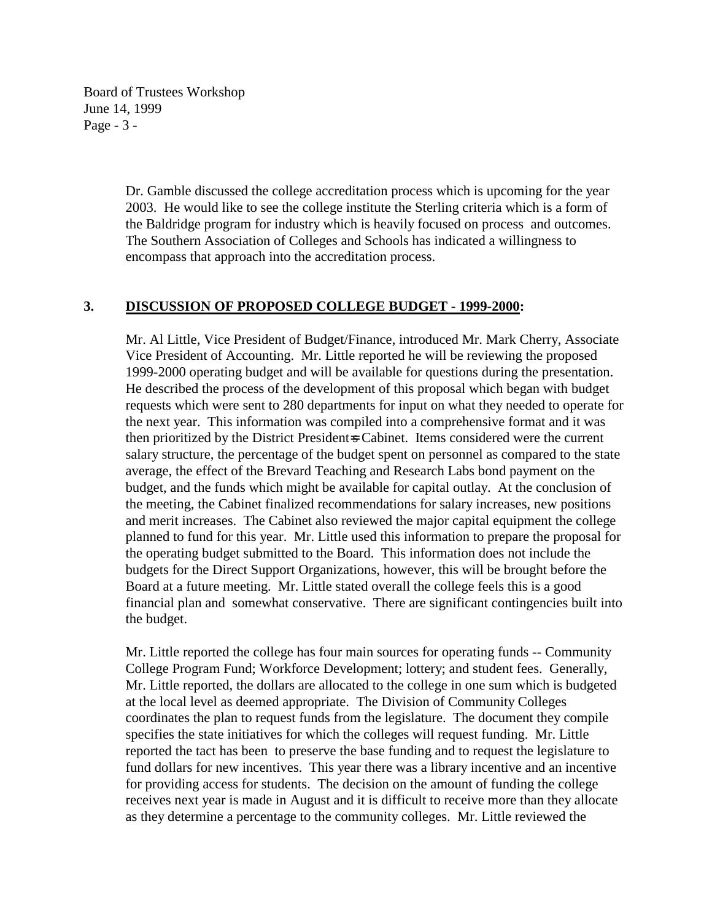Board of Trustees Workshop June 14, 1999 Page - 3 -

> Dr. Gamble discussed the college accreditation process which is upcoming for the year 2003. He would like to see the college institute the Sterling criteria which is a form of the Baldridge program for industry which is heavily focused on process and outcomes. The Southern Association of Colleges and Schools has indicated a willingness to encompass that approach into the accreditation process.

#### **3. DISCUSSION OF PROPOSED COLLEGE BUDGET - 1999-2000:**

Mr. Al Little, Vice President of Budget/Finance, introduced Mr. Mark Cherry, Associate Vice President of Accounting. Mr. Little reported he will be reviewing the proposed 1999-2000 operating budget and will be available for questions during the presentation. He described the process of the development of this proposal which began with budget requests which were sent to 280 departments for input on what they needed to operate for the next year. This information was compiled into a comprehensive format and it was then prioritized by the District President=s Cabinet. Items considered were the current salary structure, the percentage of the budget spent on personnel as compared to the state average, the effect of the Brevard Teaching and Research Labs bond payment on the budget, and the funds which might be available for capital outlay. At the conclusion of the meeting, the Cabinet finalized recommendations for salary increases, new positions and merit increases. The Cabinet also reviewed the major capital equipment the college planned to fund for this year. Mr. Little used this information to prepare the proposal for the operating budget submitted to the Board. This information does not include the budgets for the Direct Support Organizations, however, this will be brought before the Board at a future meeting. Mr. Little stated overall the college feels this is a good financial plan and somewhat conservative. There are significant contingencies built into the budget.

Mr. Little reported the college has four main sources for operating funds -- Community College Program Fund; Workforce Development; lottery; and student fees. Generally, Mr. Little reported, the dollars are allocated to the college in one sum which is budgeted at the local level as deemed appropriate. The Division of Community Colleges coordinates the plan to request funds from the legislature. The document they compile specifies the state initiatives for which the colleges will request funding. Mr. Little reported the tact has been to preserve the base funding and to request the legislature to fund dollars for new incentives. This year there was a library incentive and an incentive for providing access for students. The decision on the amount of funding the college receives next year is made in August and it is difficult to receive more than they allocate as they determine a percentage to the community colleges. Mr. Little reviewed the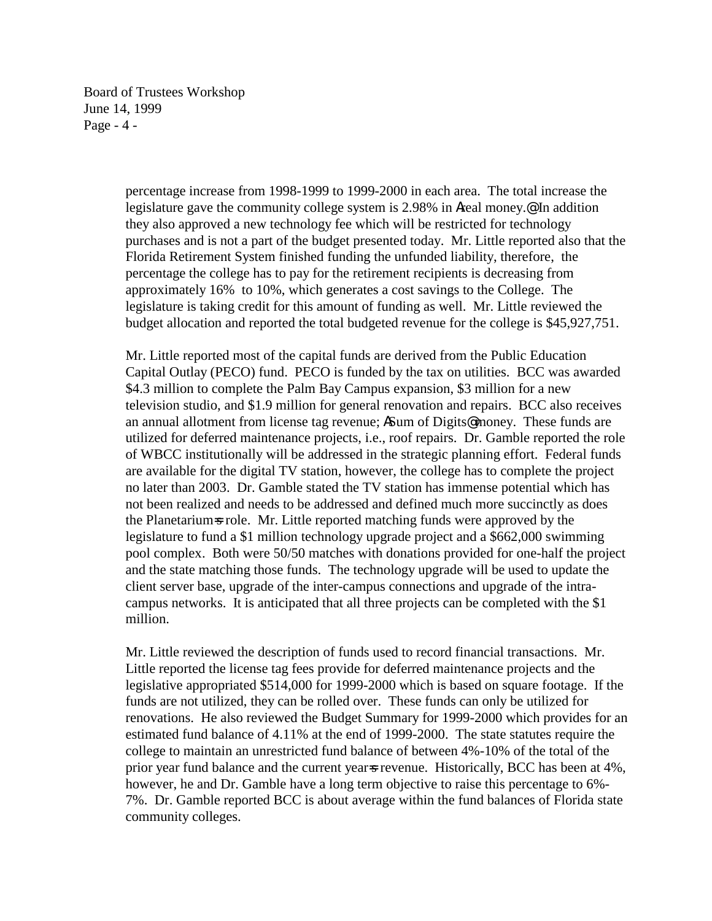Board of Trustees Workshop June 14, 1999 Page - 4 -

> percentage increase from 1998-1999 to 1999-2000 in each area. The total increase the legislature gave the community college system is 2.98% in Areal money.@ In addition they also approved a new technology fee which will be restricted for technology purchases and is not a part of the budget presented today. Mr. Little reported also that the Florida Retirement System finished funding the unfunded liability, therefore, the percentage the college has to pay for the retirement recipients is decreasing from approximately 16% to 10%, which generates a cost savings to the College. The legislature is taking credit for this amount of funding as well. Mr. Little reviewed the budget allocation and reported the total budgeted revenue for the college is \$45,927,751.

> Mr. Little reported most of the capital funds are derived from the Public Education Capital Outlay (PECO) fund. PECO is funded by the tax on utilities. BCC was awarded \$4.3 million to complete the Palm Bay Campus expansion, \$3 million for a new television studio, and \$1.9 million for general renovation and repairs. BCC also receives an annual allotment from license tag revenue; ASum of Digits@ money. These funds are utilized for deferred maintenance projects, i.e., roof repairs. Dr. Gamble reported the role of WBCC institutionally will be addressed in the strategic planning effort. Federal funds are available for the digital TV station, however, the college has to complete the project no later than 2003. Dr. Gamble stated the TV station has immense potential which has not been realized and needs to be addressed and defined much more succinctly as does the Planetarium=s role. Mr. Little reported matching funds were approved by the legislature to fund a \$1 million technology upgrade project and a \$662,000 swimming pool complex. Both were 50/50 matches with donations provided for one-half the project and the state matching those funds. The technology upgrade will be used to update the client server base, upgrade of the inter-campus connections and upgrade of the intracampus networks. It is anticipated that all three projects can be completed with the \$1 million.

> Mr. Little reviewed the description of funds used to record financial transactions. Mr. Little reported the license tag fees provide for deferred maintenance projects and the legislative appropriated \$514,000 for 1999-2000 which is based on square footage. If the funds are not utilized, they can be rolled over. These funds can only be utilized for renovations. He also reviewed the Budget Summary for 1999-2000 which provides for an estimated fund balance of 4.11% at the end of 1999-2000. The state statutes require the college to maintain an unrestricted fund balance of between 4%-10% of the total of the prior year fund balance and the current year-s revenue. Historically, BCC has been at 4%, however, he and Dr. Gamble have a long term objective to raise this percentage to 6%- 7%. Dr. Gamble reported BCC is about average within the fund balances of Florida state community colleges.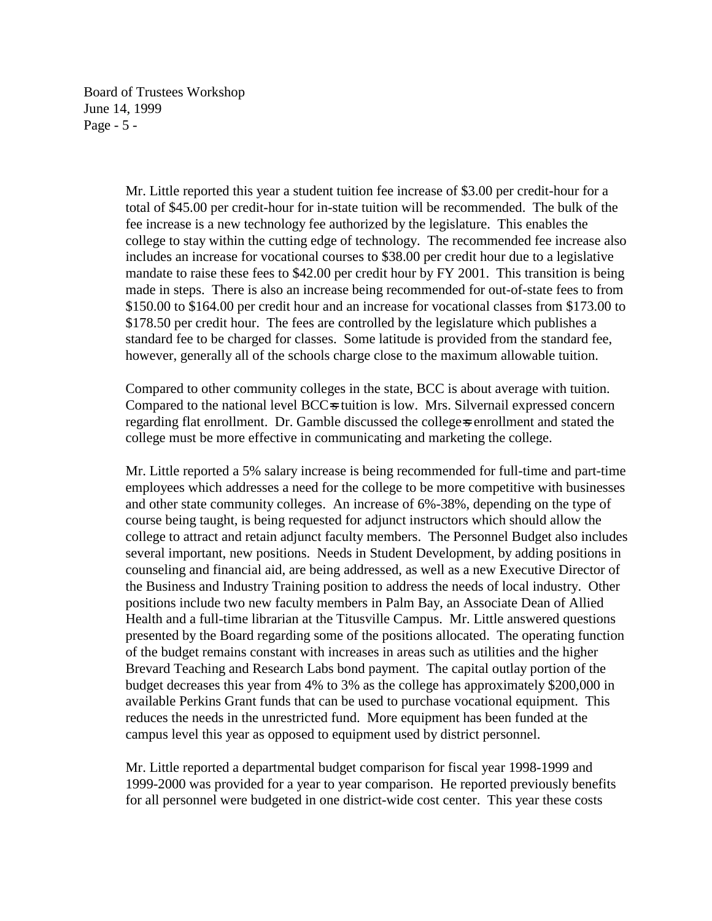Board of Trustees Workshop June 14, 1999 Page - 5 -

> Mr. Little reported this year a student tuition fee increase of \$3.00 per credit-hour for a total of \$45.00 per credit-hour for in-state tuition will be recommended. The bulk of the fee increase is a new technology fee authorized by the legislature. This enables the college to stay within the cutting edge of technology. The recommended fee increase also includes an increase for vocational courses to \$38.00 per credit hour due to a legislative mandate to raise these fees to \$42.00 per credit hour by FY 2001. This transition is being made in steps. There is also an increase being recommended for out-of-state fees to from \$150.00 to \$164.00 per credit hour and an increase for vocational classes from \$173.00 to \$178.50 per credit hour. The fees are controlled by the legislature which publishes a standard fee to be charged for classes. Some latitude is provided from the standard fee, however, generally all of the schools charge close to the maximum allowable tuition.

Compared to other community colleges in the state, BCC is about average with tuition. Compared to the national level BCC=s tuition is low. Mrs. Silvernail expressed concern regarding flat enrollment. Dr. Gamble discussed the college-s enrollment and stated the college must be more effective in communicating and marketing the college.

Mr. Little reported a 5% salary increase is being recommended for full-time and part-time employees which addresses a need for the college to be more competitive with businesses and other state community colleges. An increase of 6%-38%, depending on the type of course being taught, is being requested for adjunct instructors which should allow the college to attract and retain adjunct faculty members. The Personnel Budget also includes several important, new positions. Needs in Student Development, by adding positions in counseling and financial aid, are being addressed, as well as a new Executive Director of the Business and Industry Training position to address the needs of local industry. Other positions include two new faculty members in Palm Bay, an Associate Dean of Allied Health and a full-time librarian at the Titusville Campus. Mr. Little answered questions presented by the Board regarding some of the positions allocated. The operating function of the budget remains constant with increases in areas such as utilities and the higher Brevard Teaching and Research Labs bond payment. The capital outlay portion of the budget decreases this year from 4% to 3% as the college has approximately \$200,000 in available Perkins Grant funds that can be used to purchase vocational equipment. This reduces the needs in the unrestricted fund. More equipment has been funded at the campus level this year as opposed to equipment used by district personnel.

Mr. Little reported a departmental budget comparison for fiscal year 1998-1999 and 1999-2000 was provided for a year to year comparison. He reported previously benefits for all personnel were budgeted in one district-wide cost center. This year these costs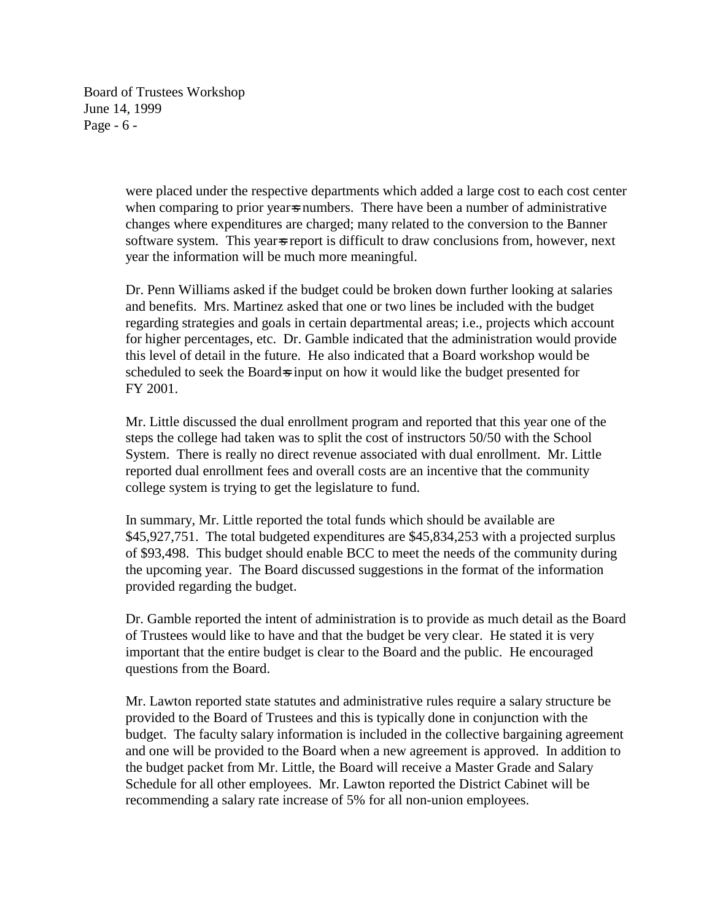Board of Trustees Workshop June 14, 1999 Page - 6 -

> were placed under the respective departments which added a large cost to each cost center when comparing to prior year is numbers. There have been a number of administrative changes where expenditures are charged; many related to the conversion to the Banner software system. This year is difficult to draw conclusions from, however, next year the information will be much more meaningful.

Dr. Penn Williams asked if the budget could be broken down further looking at salaries and benefits. Mrs. Martinez asked that one or two lines be included with the budget regarding strategies and goals in certain departmental areas; i.e., projects which account for higher percentages, etc. Dr. Gamble indicated that the administration would provide this level of detail in the future. He also indicated that a Board workshop would be scheduled to seek the Board=s input on how it would like the budget presented for FY 2001.

Mr. Little discussed the dual enrollment program and reported that this year one of the steps the college had taken was to split the cost of instructors 50/50 with the School System. There is really no direct revenue associated with dual enrollment. Mr. Little reported dual enrollment fees and overall costs are an incentive that the community college system is trying to get the legislature to fund.

In summary, Mr. Little reported the total funds which should be available are \$45,927,751. The total budgeted expenditures are \$45,834,253 with a projected surplus of \$93,498. This budget should enable BCC to meet the needs of the community during the upcoming year. The Board discussed suggestions in the format of the information provided regarding the budget.

Dr. Gamble reported the intent of administration is to provide as much detail as the Board of Trustees would like to have and that the budget be very clear. He stated it is very important that the entire budget is clear to the Board and the public. He encouraged questions from the Board.

Mr. Lawton reported state statutes and administrative rules require a salary structure be provided to the Board of Trustees and this is typically done in conjunction with the budget. The faculty salary information is included in the collective bargaining agreement and one will be provided to the Board when a new agreement is approved. In addition to the budget packet from Mr. Little, the Board will receive a Master Grade and Salary Schedule for all other employees. Mr. Lawton reported the District Cabinet will be recommending a salary rate increase of 5% for all non-union employees.